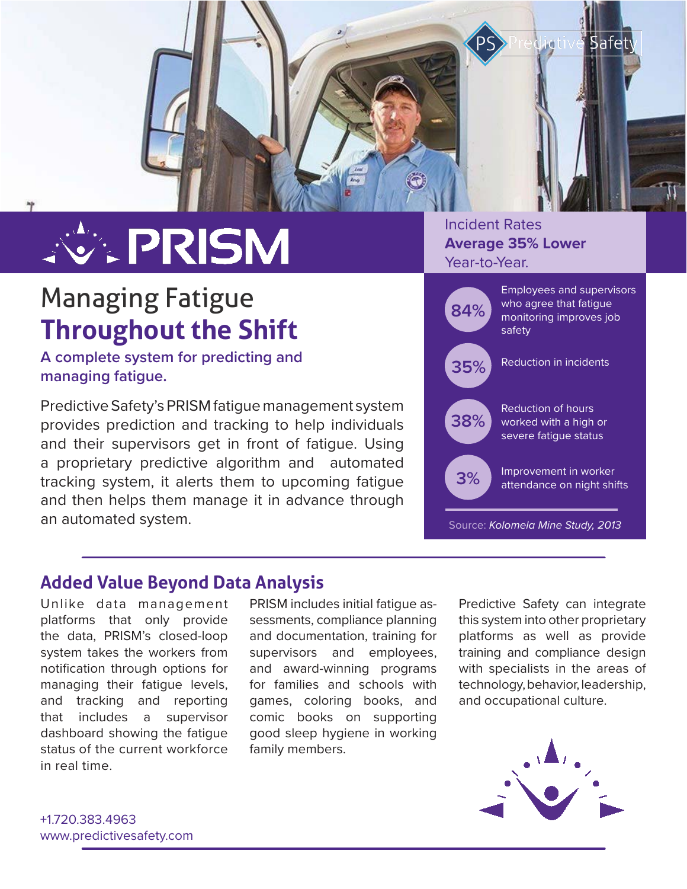

# **VEPRISM**

# Managing Fatigue **Throughout the Shift**

**A complete system for predicting and managing fatigue.**

Predictive Safety's PRISM fatigue management system provides prediction and tracking to help individuals and their supervisors get in front of fatigue. Using a proprietary predictive algorithm and automated tracking system, it alerts them to upcoming fatigue and then helps them manage it in advance through an automated system.

### Incident Rates **Average 35% Lower** Year-to-Year.

| 84%                               | <b>Employees and supervisors</b><br>who agree that fatigue<br>monitoring improves job<br>safety |
|-----------------------------------|-------------------------------------------------------------------------------------------------|
| 35%                               | Reduction in incidents                                                                          |
| 38%                               | Reduction of hours<br>worked with a high or<br>severe fatique status                            |
| 3%                                | Improvement in worker<br>attendance on night shifts                                             |
| Source: Kolomela Mine Study, 2013 |                                                                                                 |

## **Added Value Beyond Data Analysis**

Unlike data management platforms that only provide the data, PRISM's closed-loop system takes the workers from notification through options for managing their fatigue levels, and tracking and reporting that includes a supervisor dashboard showing the fatigue status of the current workforce in real time.

PRISM includes initial fatigue assessments, compliance planning and documentation, training for supervisors and employees, and award-winning programs for families and schools with games, coloring books, and comic books on supporting good sleep hygiene in working family members.

Predictive Safety can integrate this system into other proprietary platforms as well as provide training and compliance design with specialists in the areas of technology, behavior, leadership, and occupational culture.